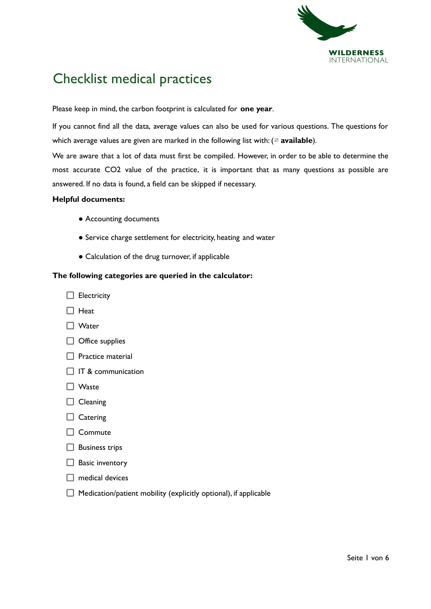

# Checklist medical practices

Please keep in mind, the carbon footprint is calculated for **one year**.

If you cannot find all the data, average values can also be used for various questions. The questions for which average values are given are marked in the following list with: (∅ **available**).

We are aware that a lot of data must first be compiled. However, in order to be able to determine the most accurate CO2 value of the practice, it is important that as many questions as possible are answered. If no data is found, a field can be skipped if necessary.

#### **Helpful documents:**

- Accounting documents
- Service charge settlement for electricity, heating and water
- Calculation of the drug turnover, if applicable

#### **The following categories are queried in the calculator:**

- $\square$  Electricity
- $\Box$  Heat
- □ Water
- $\Box$  Office supplies
- $\Box$  Practice material
- $\Box$  IT & communication
- □ Waste
- $\Box$  Cleaning
- $\Box$  Catering
- □ Commute
- $\Box$  Business trips
- $\Box$  Basic inventory
- $\Box$  medical devices
- $\Box$  Medication/patient mobility (explicitly optional), if applicable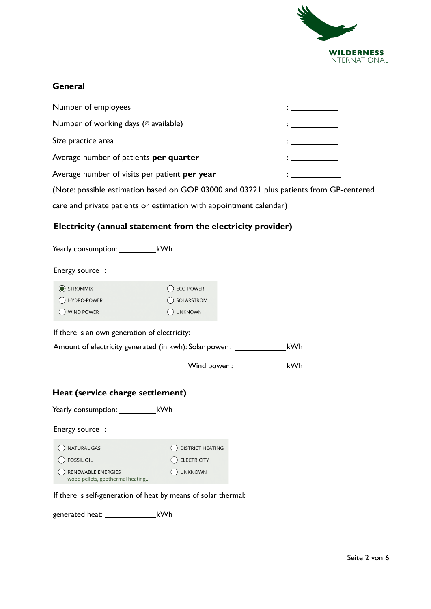

#### **General**

| Number of employees                               |  |
|---------------------------------------------------|--|
| Number of working days ( $\varnothing$ available) |  |
| Size practice area                                |  |
| Average number of patients <b>per quarter</b>     |  |
| Average number of visits per patient per year     |  |

(Note: possible estimation based on GOP 03000 and 03221 plus patients from GP-centered care and private patients or estimation with appointment calendar)

#### **Electricity (annual statement from the electricity provider)**

Yearly consumption: \_\_\_\_\_\_\_\_\_\_\_\_\_\_kWh Energy source : STROMMIX ◯ ECO-POWER ◯ HYDRO-POWER ◯ SOLARSTROM O WIND POWER O UNKNOWN If there is an own generation of electricity: Amount of electricity generated (in kwh): Solar power : kWh Wind power : kWh

## **Heat (service charge settlement)**

Yearly consumption: \_\_\_\_\_\_\_\_\_\_\_\_\_\_\_kWh

Energy source :

| () NATURAL GAS                                         | ◯ DISTRICT HEATING     |
|--------------------------------------------------------|------------------------|
| $\bigcap$ FOSSIL OIL                                   | $\bigcirc$ ELECTRICITY |
| RENEWABLE ENERGIES<br>wood pellets, geothermal heating | $\bigcap$ UNKNOWN      |

If there is self-generation of heat by means of solar thermal:

generated heat: kWh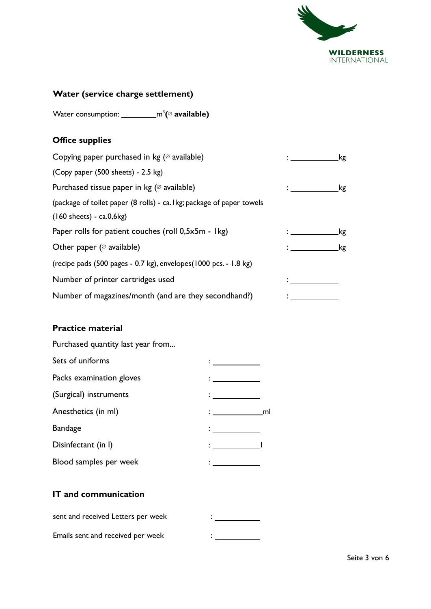

# **Water (service charge settlement)**

**Water consumption: \_\_\_\_\_\_\_\_\_\_\_m<sup>3</sup>(∅</sup> available)** 

# **Office supplies**

| Copying paper purchased in kg $(\emptyset$ available)                 | kg |
|-----------------------------------------------------------------------|----|
| (Copy paper (500 sheets) - 2.5 kg)                                    |    |
| Purchased tissue paper in kg ( $\varnothing$ available)               | kg |
| (package of toilet paper (8 rolls) - ca. lkg; package of paper towels |    |
| $(160$ sheets) - ca.0,6 $kg$ )                                        |    |
| Paper rolls for patient couches (roll 0,5x5m - 1kg)                   | kg |
| Other paper ( $\varnothing$ available)                                | kg |
| (recipe pads (500 pages - 0.7 kg), envelopes (1000 pcs. - 1.8 kg)     |    |
| Number of printer cartridges used                                     |    |
| Number of magazines/month (and are they secondhand?)                  |    |

## **Practice material**

Purchased quantity last year from...

| Sets of uniforms         |    |  |
|--------------------------|----|--|
| Packs examination gloves |    |  |
| (Surgical) instruments   |    |  |
| Anesthetics (in ml)      | ml |  |
| <b>Bandage</b>           |    |  |
| Disinfectant (in I)      |    |  |
| Blood samples per week   |    |  |

## **IT and communication**

| sent and received Letters per week |  |
|------------------------------------|--|
| Emails sent and received per week  |  |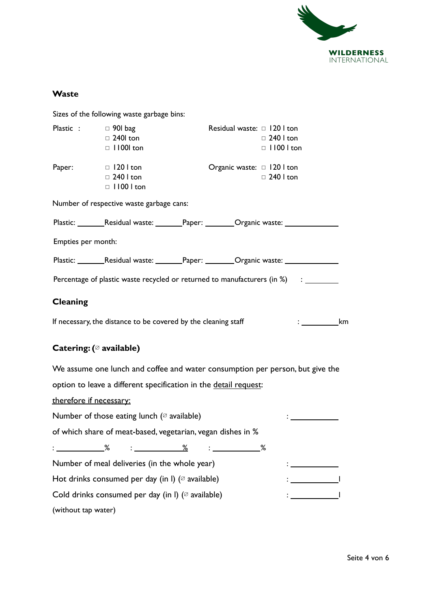

# **Waste**

|                                                            | Sizes of the following waste garbage bins:                    |                                                                                          |  |
|------------------------------------------------------------|---------------------------------------------------------------|------------------------------------------------------------------------------------------|--|
|                                                            | Plastic : $\Box$ 901 bag<br>$\Box$ 240 ton<br>$\Box$ 1100 ton | Residual waste: $\Box$ 120 l ton<br>$\Box$ 240 l ton<br>$\Box$ 1100 l ton                |  |
| Paper:                                                     | $\Box$ 120 l ton<br>$\Box$ 240 l ton<br>$\Box$ 1100 l ton     | Organic waste: $\Box$ 120 l ton<br>$\Box$ 240 l ton                                      |  |
|                                                            | Number of respective waste garbage cans:                      |                                                                                          |  |
|                                                            |                                                               | Plastic: _________Residual waste: _________Paper: _________Organic waste: ______________ |  |
| Empties per month:                                         |                                                               |                                                                                          |  |
|                                                            |                                                               | Plastic: _________Residual waste: _________Paper: _________Organic waste: _____________  |  |
|                                                            |                                                               |                                                                                          |  |
| Cleaning                                                   |                                                               |                                                                                          |  |
|                                                            |                                                               | If necessary, the distance to be covered by the cleaning staff<br>$: \_\_\_\_\_\$ km     |  |
|                                                            | Catering: ( $\oslash$ available)                              |                                                                                          |  |
|                                                            |                                                               | We assume one lunch and coffee and water consumption per person, but give the            |  |
|                                                            |                                                               | option to leave a different specification in the detail request:                         |  |
| therefore if necessary:                                    |                                                               |                                                                                          |  |
|                                                            | Number of those eating lunch ( $\varnothing$ available)       |                                                                                          |  |
|                                                            |                                                               | of which share of meat-based, vegetarian, vegan dishes in %                              |  |
|                                                            |                                                               | :_________________%                                                                      |  |
|                                                            | Number of meal deliveries (in the whole year)                 |                                                                                          |  |
|                                                            | Hot drinks consumed per day (in I) ( $\oslash$ available)     |                                                                                          |  |
| Cold drinks consumed per day (in I) ( $\oslash$ available) |                                                               |                                                                                          |  |
| (without tap water)                                        |                                                               |                                                                                          |  |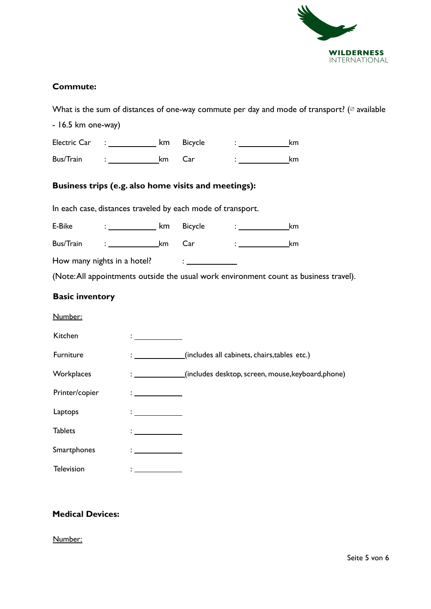

## **Commute:**

|                        |                                                             |                                          |                                                               | What is the sum of distances of one-way commute per day and mode of transport? ( $\varnothing$ available |
|------------------------|-------------------------------------------------------------|------------------------------------------|---------------------------------------------------------------|----------------------------------------------------------------------------------------------------------|
| $-16.5$ km one-way)    |                                                             |                                          |                                                               |                                                                                                          |
|                        | Electric Car : _______________ km                           |                                          |                                                               | km                                                                                                       |
| Bus/Train              | $\frac{1}{2}$ km                                            | Car                                      |                                                               | km                                                                                                       |
|                        | Business trips (e.g. also home visits and meetings):        |                                          |                                                               |                                                                                                          |
|                        | In each case, distances traveled by each mode of transport. |                                          |                                                               |                                                                                                          |
| E-Bike                 | $:$ ____________________ km                                 | Bicycle                                  | $\frac{1}{2}$ . The set of $\frac{1}{2}$                      | _km                                                                                                      |
| Bus/Train              |                                                             |                                          |                                                               | km                                                                                                       |
|                        | How many nights in a hotel?                                 | $\frac{1}{2}$ . The set of $\frac{1}{2}$ |                                                               |                                                                                                          |
|                        |                                                             |                                          |                                                               | (Note: All appointments outside the usual work environment count as business travel).                    |
| <b>Basic inventory</b> |                                                             |                                          |                                                               |                                                                                                          |
| Number:                |                                                             |                                          |                                                               |                                                                                                          |
| Kitchen                |                                                             |                                          |                                                               |                                                                                                          |
| Furniture              |                                                             |                                          | : _______________(includes all cabinets, chairs, tables etc.) |                                                                                                          |
| Workplaces             |                                                             |                                          |                                                               | : ______________(includes desktop, screen, mouse, keyboard, phone)                                       |
| Printer/copier         |                                                             |                                          |                                                               |                                                                                                          |
| Laptops                |                                                             |                                          |                                                               |                                                                                                          |
| <b>Tablets</b>         |                                                             |                                          |                                                               |                                                                                                          |
| Smartphones            |                                                             |                                          |                                                               |                                                                                                          |
| Television             |                                                             |                                          |                                                               |                                                                                                          |

## **Medical Devices:**

#### Number: